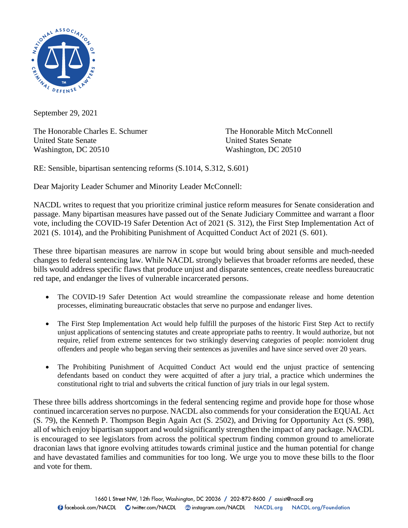

September 29, 2021

The Honorable Charles E. Schumer The Honorable Mitch McConnell United State Senate United States Senate Washington, DC 20510 Washington, DC 20510

RE: Sensible, bipartisan sentencing reforms (S.1014, S.312, S.601)

Dear Majority Leader Schumer and Minority Leader McConnell:

NACDL writes to request that you prioritize criminal justice reform measures for Senate consideration and passage. Many bipartisan measures have passed out of the Senate Judiciary Committee and warrant a floor vote, including the COVID-19 Safer Detention Act of 2021 (S. 312), the First Step Implementation Act of 2021 (S. 1014), and the Prohibiting Punishment of Acquitted Conduct Act of 2021 (S. 601).

These three bipartisan measures are narrow in scope but would bring about sensible and much-needed changes to federal sentencing law. While NACDL strongly believes that broader reforms are needed, these bills would address specific flaws that produce unjust and disparate sentences, create needless bureaucratic red tape, and endanger the lives of vulnerable incarcerated persons.

- The COVID-19 Safer Detention Act would streamline the compassionate release and home detention processes, eliminating bureaucratic obstacles that serve no purpose and endanger lives.
- The First Step Implementation Act would help fulfill the purposes of the historic First Step Act to rectify unjust applications of sentencing statutes and create appropriate paths to reentry. It would authorize, but not require, relief from extreme sentences for two strikingly deserving categories of people: nonviolent drug offenders and people who began serving their sentences as juveniles and have since served over 20 years.
- The Prohibiting Punishment of Acquitted Conduct Act would end the unjust practice of sentencing defendants based on conduct they were acquitted of after a jury trial, a practice which undermines the constitutional right to trial and subverts the critical function of jury trials in our legal system.

These three bills address shortcomings in the federal sentencing regime and provide hope for those whose continued incarceration serves no purpose. NACDL also commends for your consideration the EQUAL Act (S. 79), the Kenneth P. Thompson Begin Again Act (S. 2502), and Driving for Opportunity Act (S. 998), all of which enjoy bipartisan support and would significantly strengthen the impact of any package. NACDL is encouraged to see legislators from across the political spectrum finding common ground to ameliorate draconian laws that ignore evolving attitudes towards criminal justice and the human potential for change and have devastated families and communities for too long. We urge you to move these bills to the floor and vote for them.